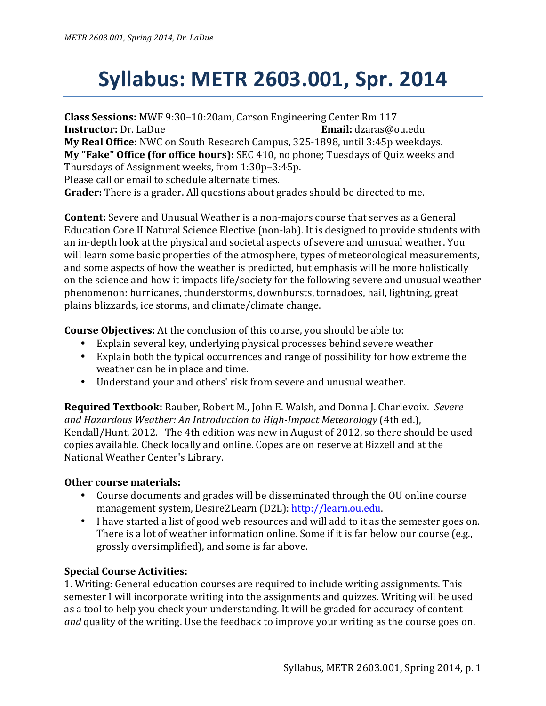## **Syllabus: METR 2603.001, Spr. 2014**

**Class Sessions:** MWF 9:30–10:20am, Carson Engineering Center Rm 117 **Instructor:** Dr. LaDue **Email:** dzaras@ou.edu **My Real Office:** NWC on South Research Campus, 325-1898, until 3:45p weekdays. **My "Fake" Office (for office hours):** SEC 410, no phone; Tuesdays of Quiz weeks and Thursdays of Assignment weeks, from 1:30p-3:45p. Please call or email to schedule alternate times.

**Grader:** There is a grader. All questions about grades should be directed to me.

**Content:** Severe and Unusual Weather is a non-majors course that serves as a General Education Core II Natural Science Elective (non-lab). It is designed to provide students with an in-depth look at the physical and societal aspects of severe and unusual weather. You will learn some basic properties of the atmosphere, types of meteorological measurements, and some aspects of how the weather is predicted, but emphasis will be more holistically on the science and how it impacts life/society for the following severe and unusual weather phenomenon: hurricanes, thunderstorms, downbursts, tornadoes, hail, lightning, great plains blizzards, ice storms, and climate/climate change.

**Course Objectives:** At the conclusion of this course, you should be able to:

- Explain several key, underlying physical processes behind severe weather
- Explain both the typical occurrences and range of possibility for how extreme the weather can be in place and time.
- Understand your and others' risk from severe and unusual weather.

**Required Textbook:** Rauber, Robert M., John E. Walsh, and Donna J. Charlevoix. Severe and Hazardous Weather: An Introduction to High-Impact Meteorology (4th ed.), Kendall/Hunt, 2012. The 4th edition was new in August of 2012, so there should be used copies available. Check locally and online. Copes are on reserve at Bizzell and at the National Weather Center's Library.

## **Other course materials:**

- Course documents and grades will be disseminated through the OU online course management system, Desire2Learn (D2L): http://learn.ou.edu.
- I have started a list of good web resources and will add to it as the semester goes on. There is a lot of weather information online. Some if it is far below our course (e.g., grossly oversimplified), and some is far above.

## **Special Course Activities:**

1. Writing: General education courses are required to include writing assignments. This semester I will incorporate writing into the assignments and quizzes. Writing will be used as a tool to help you check your understanding. It will be graded for accuracy of content and quality of the writing. Use the feedback to improve your writing as the course goes on.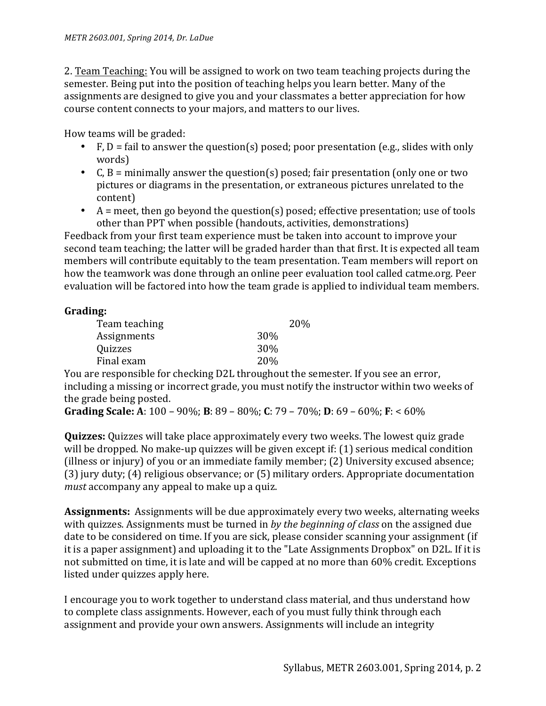2. Team Teaching: You will be assigned to work on two team teaching projects during the semester. Being put into the position of teaching helps you learn better. Many of the assignments are designed to give you and your classmates a better appreciation for how course content connects to your majors, and matters to our lives.

How teams will be graded:

- F,  $D = \text{fail}$  to answer the question(s) posed; poor presentation (e.g., slides with only words)
- C,  $B =$  minimally answer the question(s) posed; fair presentation (only one or two pictures or diagrams in the presentation, or extraneous pictures unrelated to the content)
- A = meet, then go beyond the question(s) posed; effective presentation; use of tools other than PPT when possible (handouts, activities, demonstrations)

Feedback from your first team experience must be taken into account to improve your second team teaching; the latter will be graded harder than that first. It is expected all team members will contribute equitably to the team presentation. Team members will report on how the teamwork was done through an online peer evaluation tool called catme.org. Peer evaluation will be factored into how the team grade is applied to individual team members.

## **Grading:**

| Team teaching |            | 20% |
|---------------|------------|-----|
| Assignments   | 30%        |     |
| Quizzes       | 30%        |     |
| Final exam    | <b>20%</b> |     |
|               |            |     |

You are responsible for checking D2L throughout the semester. If you see an error, including a missing or incorrect grade, you must notify the instructor within two weeks of the grade being posted.

**Grading Scale:** A: 100 – 90%; **B**: 89 – 80%; **C**: 79 – 70%; **D**: 69 – 60%; **F**: < 60%

**Quizzes:** Quizzes will take place approximately every two weeks. The lowest quiz grade will be dropped. No make-up quizzes will be given except if:  $(1)$  serious medical condition (illness or injury) of you or an immediate family member;  $(2)$  University excused absence; (3) jury duty; (4) religious observance; or (5) military orders. Appropriate documentation *must* accompany any appeal to make up a quiz.

**Assignments:** Assignments will be due approximately every two weeks, alternating weeks with quizzes. Assignments must be turned in *by the beginning of class* on the assigned due date to be considered on time. If you are sick, please consider scanning your assignment (if it is a paper assignment) and uploading it to the "Late Assignments Dropbox" on D2L. If it is not submitted on time, it is late and will be capped at no more than 60% credit. Exceptions listed under quizzes apply here.

I encourage you to work together to understand class material, and thus understand how to complete class assignments. However, each of you must fully think through each assignment and provide your own answers. Assignments will include an integrity